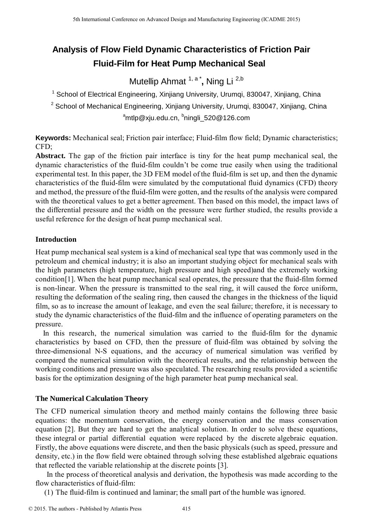# **Analysis of Flow Field Dynamic Characteristics of Friction Pair Fluid-Film for Heat Pump Mechanical Seal**

Mutellip Ahmat <sup>1, a\*</sup>, Ning Li<sup>2,b</sup>

 $1$  School of Electrical Engineering, Xinjiang University, Urumqi, 830047, Xinjiang, China

 $2$  School of Mechanical Engineering, Xinjiang University, Urumgi, 830047, Xinjiang, China  $^{\rm a}$ mtlp@xju.edu.cn,  $^{\rm b}$ ningli\_520@126.com

**Keywords:** Mechanical seal; Friction pair interface; Fluid-film flow field; Dynamic characteristics; CFD;

**Abstract.** The gap of the friction pair interface is tiny for the heat pump mechanical seal, the dynamic characteristics of the fluid-film couldn't be come true easily when using the traditional experimental test. In this paper, the 3D FEM model of the fluid-film is set up, and then the dynamic characteristics of the fluid-film were simulated by the computational fluid dynamics (CFD) theory and method, the pressure of the fluid-film were gotten, and the results of the analysis were compared with the theoretical values to get a better agreement. Then based on this model, the impact laws of the differential pressure and the width on the pressure were further studied, the results provide a useful reference for the design of heat pump mechanical seal.

## **Introduction**

Heat pump mechanical seal system is a kind of mechanical seal type that was commonly used in the petroleum and chemical industry; it is also an important studying object for mechanical seals with the high parameters (high temperature, high pressure and high speed)and the extremely working condition[1]. When the heat pump mechanical seal operates, the pressure that the fluid-film formed is non-linear. When the pressure is transmitted to the seal ring, it will caused the force uniform, resulting the deformation of the sealing ring, then caused the changes in the thickness of the liquid film, so as to increase the amount of leakage, and even the seal failure; therefore, it is necessary to study the dynamic characteristics of the fluid-film and the influence of operating parameters on the pressure. <sup>516</sup> the transfer conference on Advanced Design and Manufacture of **Friction Properties**<br> **For all the Conference of the Conference on Assign and Manufacturing Conference of the Conference of the Conference on Assign and** 

In this research, the numerical simulation was carried to the fluid-film for the dynamic characteristics by based on CFD, then the pressure of fluid-film was obtained by solving the three-dimensional N-S equations, and the accuracy of numerical simulation was verified by compared the numerical simulation with the theoretical results, and the relationship between the working conditions and pressure was also speculated. The researching results provided a scientific basis for the optimization designing of the high parameter heat pump mechanical seal.

# **The Numerical Calculation Theory**

The CFD numerical simulation theory and method mainly contains the following three basic equations: the momentum conservation, the energy conservation and the mass conservation equation [2]. But they are hard to get the analytical solution. In order to solve these equations, these integral or partial differential equation were replaced by the discrete algebraic equation. Firstly, the above equations were discrete, and then the basic physicals (such as speed, pressure and density, etc.) in the flow field were obtained through solving these established algebraic equations that reflected the variable relationship at the discrete points [3].

In the process of theoretical analysis and derivation, the hypothesis was made according to the flow characteristics of fluid-film:

(1) The fluid-film is continued and laminar; the small part of the humble was ignored.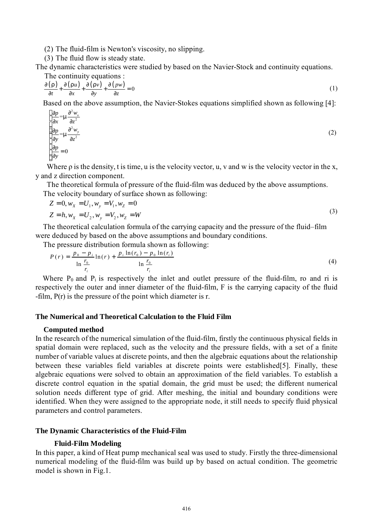(2) The fluid-film is Newton's viscosity, no slipping.

(3) The fluid flow is steady state.

The dynamic characteristics were studied by based on the Navier-Stock and continuity equations. The continuity equations :

$$
\frac{\partial (r)}{\partial t} + \frac{\partial (ru)}{\partial x} + \frac{\partial (rv)}{\partial y} + \frac{\partial (pw)}{\partial z} = 0
$$
 (1)

Based on the above assumption, the Navier-Stokes equations simplified shown as following [4]:

$$
\begin{cases}\n\frac{\partial p}{\partial x} = m \frac{\partial^2 w_x}{\partial z^2} \\
\frac{\partial p}{\partial y} = m \frac{\partial^2 w_y}{\partial z^2} \\
\frac{\partial p}{\partial y} = 0\n\end{cases}
$$
\n(2)

Where  $\rho$  is the density, t is time, u is the velocity vector, u, v and w is the velocity vector in the x, y and z direction component.

The theoretical formula of pressure of the fluid-film was deduced by the above assumptions. The velocity boundary of surface shown as following:

$$
Z = 0, wX = U1, wy = V1, wZ = 0
$$
\n(3)

$$
Z = h, w_x = U_2, w_y = V_2, w_z = W
$$
 (3)

The theoretical calculation formula of the carrying capacity and the pressure of the fluid–film were deduced by based on the above assumptions and boundary conditions.

The pressure distribution formula shown as following:

$$
P(r) = \frac{p_0 - p_i}{\ln \frac{r_0}{r_i}} \ln(r) + \frac{p_i \ln(r_0) - p_0 \ln(r_i)}{\ln \frac{r_0}{r_i}}
$$
(4)

Where  $P_0$  and  $P_i$  is respectively the inlet and outlet pressure of the fluid-film, ro and ri is respectively the outer and inner diameter of the fluid-film, F is the carrying capacity of the fluid -film, P(r) is the pressure of the point which diameter is r.

### **The Numerical and Theoretical Calculation to the Fluid Film**

#### **Computed method**

In the research of the numerical simulation of the fluid-film, firstly the continuous physical fields in spatial domain were replaced, such as the velocity and the pressure fields, with a set of a finite number of variable values at discrete points, and then the algebraic equations about the relationship between these variables field variables at discrete points were established[5]. Finally, these algebraic equations were solved to obtain an approximation of the field variables. To establish a discrete control equation in the spatial domain, the grid must be used; the different numerical solution needs different type of grid. After meshing, the initial and boundary conditions were identified. When they were assigned to the appropriate node, it still needs to specify fluid physical parameters and control parameters.

### **The Dynamic Characteristics of the Fluid-Film**

### **Fluid-Film Modeling**

In this paper, a kind of Heat pump mechanical seal was used to study. Firstly the three-dimensional numerical modeling of the fluid-film was build up by based on actual condition. The geometric model is shown in Fig.1.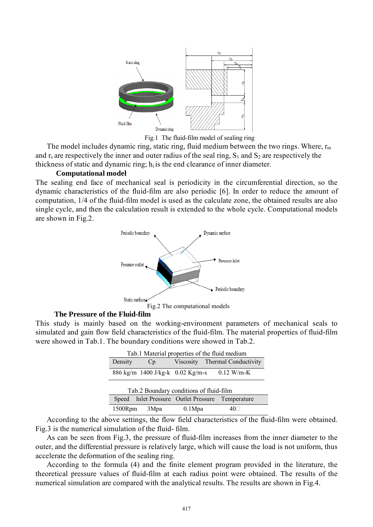

Fig.1 The fluid-film model of sealing ring

The model includes dynamic ring, static ring, fluid medium between the two rings. Where,  $r_m$ and  $r_s$  are respectively the inner and outer radius of the seal ring,  $S_1$  and  $S_2$  are respectively the thickness of static and dynamic ring;  $h_i$  is the end clearance of inner diameter.

## **Computational model**

The sealing end face of mechanical seal is periodicity in the circumferential direction, so the dynamic characteristics of the fluid-film are also periodic [6]. In order to reduce the amount of computation, 1/4 of the fluid-film model is used as the calculate zone, the obtained results are also single cycle, and then the calculation result is extended to the whole cycle. Computational models are shown in Fig.2.



## **The Pressure of the Fluid-film**

This study is mainly based on the working-environment parameters of mechanical seals to simulated and gain flow field characteristics of the fluid-film. The material properties of fluid-film were showed in Tab.1. The boundary conditions were showed in Tab.2.

| Tab.1 Material properties of the fluid medium |      |                                            |                                |
|-----------------------------------------------|------|--------------------------------------------|--------------------------------|
| Density                                       | Cp   |                                            | Viscosity Thermal Conductivity |
|                                               |      | 886 kg/m 1400 J/kg-k 0.02 Kg/m-s           | $0.12$ W/m-K                   |
| Tab.2 Boundary conditions of fluid-film       |      |                                            |                                |
| Speed                                         |      | Inlet Pressure Outlet Pressure Temperature |                                |
| 1500Rpm                                       | 3Mpa | 0.1Mpa                                     |                                |

According to the above settings, the flow field characteristics of the fluid-film were obtained. Fig.3 is the numerical simulation of the fluid- film.

As can be seen from Fig.3, the pressure of fluid-film increases from the inner diameter to the outer, and the differential pressure is relatively large, which will cause the load is not uniform, thus accelerate the deformation of the sealing ring.

According to the formula (4) and the finite element program provided in the literature, the theoretical pressure values of fluid-film at each radius point were obtained. The results of the numerical simulation are compared with the analytical results. The results are shown in Fig.4.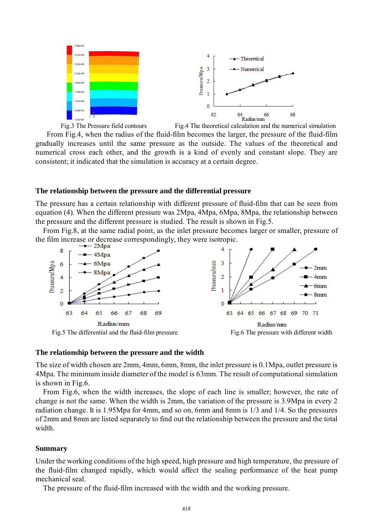

From Fig.4, when the radius of the fluid-film becomes the larger, the pressure of the fluid-film gradually increases until the same pressure as the outside. The values of the theoretical and numerical cross each other, and the growth is a kind of evenly and constant slope. They are consistent; it indicated that the simulation is accuracy at a certain degree.

### **The relationship between the pressure and the differential pressure**

The pressure has a certain relationship with different pressure of fluid-film that can be seen from equation (4). When the different pressure was 2Mpa, 4Mpa, 6Mpa, 8Mpa, the relationship between the pressure and the different pressure is studied. The result is shown in Fig.5.

From Fig.8, at the same radial point, as the inlet pressure becomes larger or smaller, pressure of the film increase or decrease correspondingly, they were isotropic.





#### **The relationship between the pressure and the width**

The size of width chosen are 2mm, 4mm, 6mm, 8mm, the inlet pressure is 0.1Mpa, outlet pressure is 4Mpa. The minimum inside diameter of the model is 63mm. The result of computational simulation is shown in Fig.6.

From Fig.6, when the width increases, the slope of each line is smaller; however, the rate of change is not the same. When the width is 2mm, the variation of the pressure is 3.9Mpa in every 2 radiation change. It is 1.95Mpa for 4mm, and so on, 6mm and 8mm is 1/3 and 1/4. So the pressures of 2mm and 8mm are listed separately to find out the relationship between the pressure and the total width.

## **Summary**

Under the working conditions of the high speed, high pressure and high temperature, the pressure of the fluid-film changed rapidly, which would affect the sealing performance of the heat pump mechanical seal.

The pressure of the fluid-film increased with the width and the working pressure.